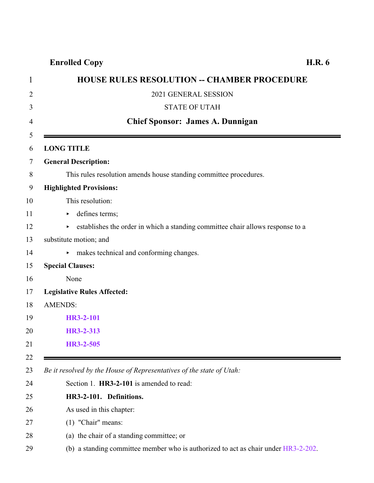### **Enrolled Copy H.R. 6**

| <b>HOUSE RULES RESOLUTION -- CHAMBER PROCEDURE</b>                                   |
|--------------------------------------------------------------------------------------|
| 2021 GENERAL SESSION                                                                 |
| <b>STATE OF UTAH</b>                                                                 |
| <b>Chief Sponsor: James A. Dunnigan</b>                                              |
|                                                                                      |
| <b>LONG TITLE</b>                                                                    |
| <b>General Description:</b>                                                          |
| This rules resolution amends house standing committee procedures.                    |
| <b>Highlighted Provisions:</b>                                                       |
| This resolution:                                                                     |
| defines terms;<br>▶                                                                  |
| establishes the order in which a standing committee chair allows response to a<br>Þ. |
| substitute motion; and                                                               |
| makes technical and conforming changes.<br>Þ.                                        |
| <b>Special Clauses:</b>                                                              |
| None                                                                                 |
| <b>Legislative Rules Affected:</b>                                                   |
| <b>AMENDS:</b>                                                                       |
| <b>HR3-2-101</b>                                                                     |
| HR3-2-313                                                                            |
| HR3-2-505                                                                            |

*Be it resolved by the House of Representatives of the state of Utah:*

- <span id="page-0-0"></span>Section 1. **HR3-2-101** is amended to read:
- **HR3-2-101. Definitions.**
- As used in this chapter:
- (1) "Chair" means:
- (a) the chair of a standing committee; or
- (b) a standing committee member who is authorized to act as chair under [HR3-2-202](http://le.utah.gov/UtahCode/SectionLookup.jsp?section=hr3-2-202&session=2021GS).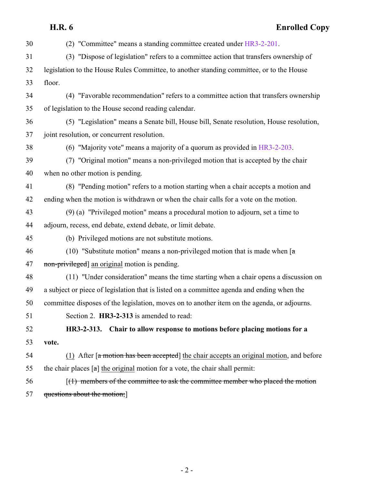# **H.R. 6 Enrolled Copy**

<span id="page-1-0"></span>

| 30 | (2) "Committee" means a standing committee created under HR3-2-201.                                     |
|----|---------------------------------------------------------------------------------------------------------|
| 31 | (3) "Dispose of legislation" refers to a committee action that transfers ownership of                   |
| 32 | legislation to the House Rules Committee, to another standing committee, or to the House                |
| 33 | floor.                                                                                                  |
| 34 | (4) "Favorable recommendation" refers to a committee action that transfers ownership                    |
| 35 | of legislation to the House second reading calendar.                                                    |
| 36 | (5) "Legislation" means a Senate bill, House bill, Senate resolution, House resolution,                 |
| 37 | joint resolution, or concurrent resolution.                                                             |
| 38 | (6) "Majority vote" means a majority of a quorum as provided in $HR3-2-203$ .                           |
| 39 | (7) "Original motion" means a non-privileged motion that is accepted by the chair                       |
| 40 | when no other motion is pending.                                                                        |
| 41 | (8) "Pending motion" refers to a motion starting when a chair accepts a motion and                      |
| 42 | ending when the motion is withdrawn or when the chair calls for a vote on the motion.                   |
| 43 | (9) (a) "Privileged motion" means a procedural motion to adjourn, set a time to                         |
| 44 | adjourn, recess, end debate, extend debate, or limit debate.                                            |
| 45 | (b) Privileged motions are not substitute motions.                                                      |
| 46 | (10) "Substitute motion" means a non-privileged motion that is made when $[a]$                          |
| 47 | non-privileged] an original motion is pending.                                                          |
| 48 | (11) "Under consideration" means the time starting when a chair opens a discussion on                   |
| 49 | a subject or piece of legislation that is listed on a committee agenda and ending when the              |
| 50 | committee disposes of the legislation, moves on to another item on the agenda, or adjourns.             |
| 51 | Section 2. HR3-2-313 is amended to read:                                                                |
| 52 | Chair to allow response to motions before placing motions for a<br>HR3-2-313.                           |
| 53 | vote.                                                                                                   |
| 54 | (1) After $\lceil a \bmod{m} \rceil$ has been accepted the chair accepts an original motion, and before |
| 55 | the chair places $[a]$ the original motion for a vote, the chair shall permit:                          |
| 56 | $(1)$ members of the committee to ask the committee member who placed the motion                        |
| 57 | questions about the motion;                                                                             |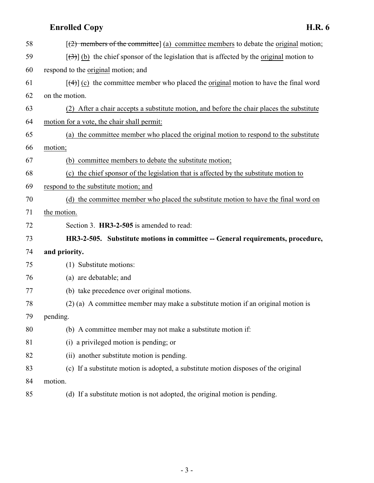## **Enrolled Copy H.R. 6**

| 58 | $\left[\frac{2}{2}\right]$ members of the committee] (a) committee members to debate the original motion; |
|----|-----------------------------------------------------------------------------------------------------------|
| 59 | $[\langle 3\rangle]$ (b) the chief sponsor of the legislation that is affected by the original motion to  |
| 60 | respond to the original motion; and                                                                       |
| 61 | $[\frac{4}{4}]$ (c) the committee member who placed the original motion to have the final word            |
| 62 | on the motion.                                                                                            |
| 63 | (2) After a chair accepts a substitute motion, and before the chair places the substitute                 |
| 64 | motion for a vote, the chair shall permit:                                                                |
| 65 | (a) the committee member who placed the original motion to respond to the substitute                      |
| 66 | motion;                                                                                                   |
| 67 | (b) committee members to debate the substitute motion;                                                    |
| 68 | (c) the chief sponsor of the legislation that is affected by the substitute motion to                     |
| 69 | respond to the substitute motion; and                                                                     |
| 70 | (d) the committee member who placed the substitute motion to have the final word on                       |
| 71 | the motion.                                                                                               |
| 72 | Section 3. HR3-2-505 is amended to read:                                                                  |
| 73 | HR3-2-505. Substitute motions in committee -- General requirements, procedure,                            |
| 74 | and priority.                                                                                             |
| 75 | (1) Substitute motions:                                                                                   |
| 76 | (a) are debatable; and                                                                                    |
| 77 | (b) take precedence over original motions.                                                                |
| 78 | (2) (a) A committee member may make a substitute motion if an original motion is                          |
| 79 | pending.                                                                                                  |
| 80 | (b) A committee member may not make a substitute motion if:                                               |
| 81 | (i) a privileged motion is pending; or                                                                    |
| 82 | (ii) another substitute motion is pending.                                                                |
| 83 | (c) If a substitute motion is adopted, a substitute motion disposes of the original                       |
| 84 | motion.                                                                                                   |
|    |                                                                                                           |

<span id="page-2-0"></span>(d) If a substitute motion is not adopted, the original motion is pending.